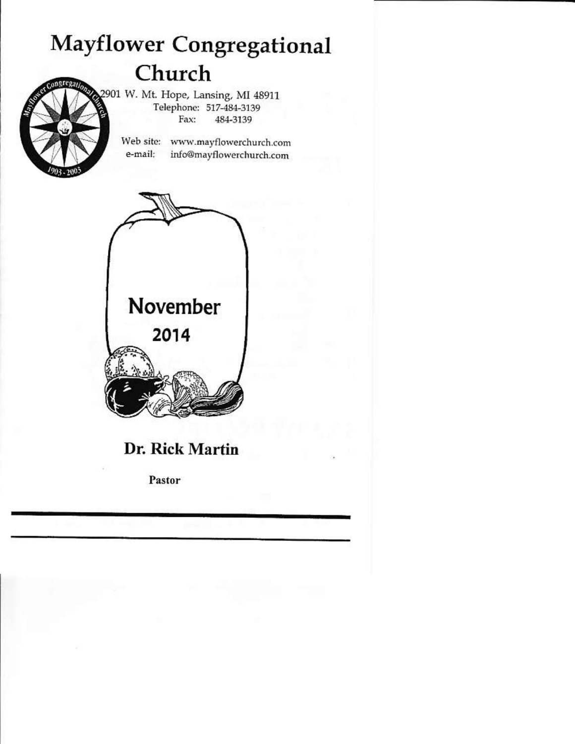# **Mayflower Congregational** Church



2901 W. Mt. Hope, Lansing, MI 48911 Telephone: 517-484-3139 Fax: 484-3139

> Web site: www.mayflowerchurch.com e-mail: info@mayflowerchurch.com



### Dr. Rick Martin

Pastor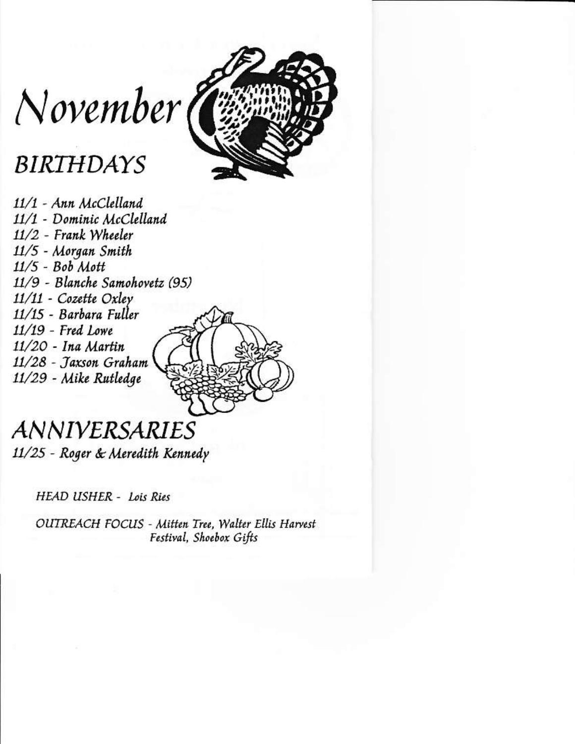

November (

## **BIRTHDAYS**

11/1 - Ann McClelland 11/1 - Dominic McClelland 11/2 - Frank Wheeler 11/5 - Morgan Smith  $11/5 - Bob$  Mott 11/9 - Blanche Samohovetz (95) 11/11 - Cozette Oxley 11/15 - Barbara Fuller  $11/19$  - Fred Lowe 11/20 - Ina Martin 11/28 - Taxson Graham 11/29 - Mike Rutledge

### *ANNIVERSARIES* 11/25 - Roger & Meredith Kennedy

**HEAD USHER - Lois Ries** 

OUTREACH FOCUS - Mitten Tree, Walter Ellis Harvest Festival, Shoebox Gifts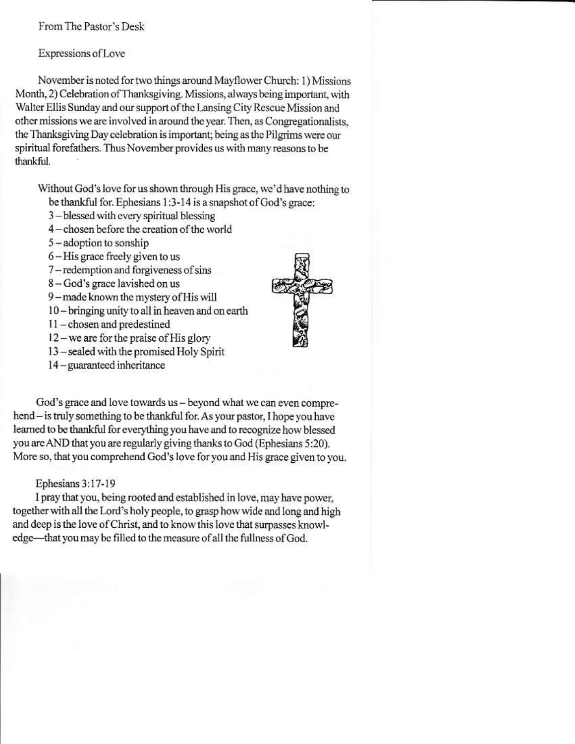From The Pastor's Desk

Expressions of Love

November is noted for two things around Mayflower Church: 1) Missions Month, 2) Celebration of Thanksgiving. Missions, always being important, with Walter Ellis Sunday and our support of the Lansing City Rescue Mission and other missions we are involved in around the year. Then, as Congregationalists. the Thanksgiving Day celebration is important; being as the Pilgrims were our spiritual forefathers. Thus November provides us with many reasons to be thankful.

Without God's love for us shown through His grace, we'd have nothing to be thankful for. Ephesians 1:3-14 is a snapshot of God's grace:

- 3-blessed with every spiritual blessing
- 4-chosen before the creation of the world
- $5 -$ adoption to sonship
- 6 His grace freely given to us
- 7-redemption and forgiveness of sins
- 8-God's grace lavished on us
- 9-made known the mystery of His will
- 10 bringing unity to all in heaven and on earth
- 11-chosen and predestined
- 12 we are for the praise of His glory
- 13-sealed with the promised Holy Spirit
- 14 guaranteed inheritance



God's grace and love towards us - beyond what we can even comprehend - is truly something to be thankful for. As your pastor, I hope you have learned to be thankful for everything you have and to recognize how blessed you are AND that you are regularly giving thanks to God (Ephesians 5:20). More so, that you comprehend God's love for you and His grace given to you.

#### Ephesians 3:17-19

I pray that you, being rooted and established in love, may have power, together with all the Lord's holy people, to grasp how wide and long and high and deep is the love of Christ, and to know this love that surpasses knowledge-that you may be filled to the measure of all the fullness of God.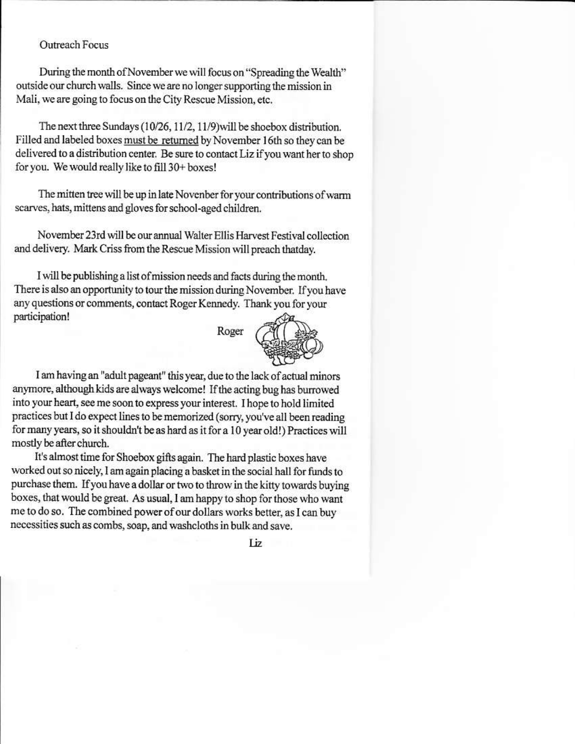#### **Outreach Focus**

During the month of November we will focus on "Spreading the Wealth" outside our church walls. Since we are no longer supporting the mission in Mali, we are going to focus on the City Rescue Mission, etc.

The next three Sundays (10/26, 11/2, 11/9) will be shoebox distribution. Filled and labeled boxes must be returned by November 16th so they can be delivered to a distribution center. Be sure to contact Liz if you want her to shop for you. We would really like to fill 30+ boxes!

The mitten tree will be up in late Novenber for your contributions of warm scarves, hats, mittens and gloves for school-aged children.

November 23rd will be our annual Walter Ellis Harvest Festival collection and delivery. Mark Criss from the Rescue Mission will preach thatday.

I will be publishing a list of mission needs and facts during the month. There is also an opportunity to tour the mission during November. If you have any questions or comments, contact Roger Kennedy. Thank you for your participation!

Roger



I am having an "adult pageant" this year, due to the lack of actual minors anymore, although kids are always welcome! If the acting bug has burrowed into your heart, see me soon to express your interest. I hope to hold limited practices but I do expect lines to be memorized (sorry, you've all been reading for many years, so it shouldn't be as hard as it for a 10 year old!) Practices will mostly be after church.

It's almost time for Shoebox gifts again. The hard plastic boxes have worked out so nicely, I am again placing a basket in the social hall for funds to purchase them. If you have a dollar or two to throw in the kitty towards buying boxes, that would be great. As usual, I am happy to shop for those who want me to do so. The combined power of our dollars works better, as I can buy necessities such as combs, soap, and washcloths in bulk and save.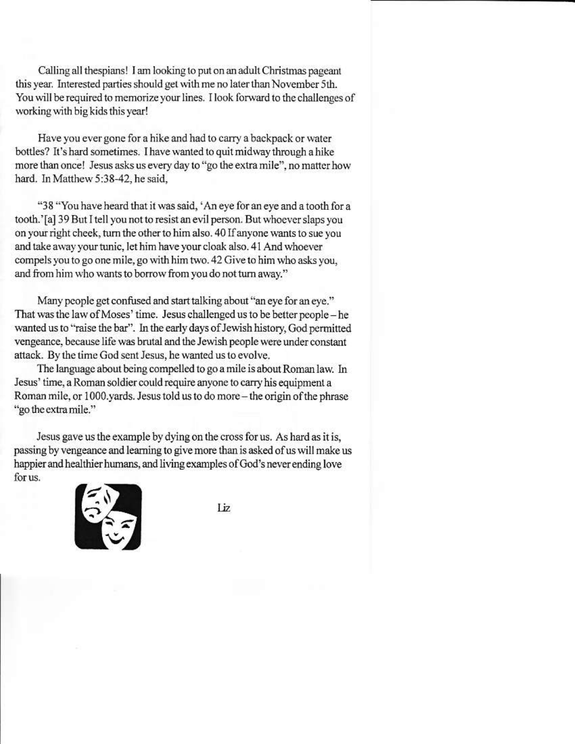Calling all thespians! I am looking to put on an adult Christmas pageant this year. Interested parties should get with me no later than November 5th. You will be required to memorize your lines. I look forward to the challenges of working with big kids this year!

Have you ever gone for a hike and had to carry a backpack or water bottles? It's hard sometimes. I have wanted to quit midway through a hike more than once! Jesus asks us every day to "go the extra mile", no matter how hard. In Matthew 5:38-42, he said.

"38 "You have heard that it was said, 'An eye for an eye and a tooth for a tooth.'[a] 39 But I tell you not to resist an evil person. But whoever slaps you on your right cheek, turn the other to him also. 40 If anyone wants to sue you and take away your tunic, let him have your cloak also. 41 And whoever compels you to go one mile, go with him two. 42 Give to him who asks you, and from him who wants to borrow from you do not turn away."

Many people get confused and start talking about "an eve for an eve." That was the law of Moses' time. Jesus challenged us to be better people - he wanted us to "raise the bar". In the early days of Jewish history, God permitted vengeance, because life was brutal and the Jewish people were under constant attack. By the time God sent Jesus, he wanted us to evolve.

The language about being compelled to go a mile is about Roman law. In Jesus' time, a Roman soldier could require anyone to carry his equipment a Roman mile, or 1000.yards. Jesus told us to do more - the origin of the phrase "go the extra mile."

Jesus gave us the example by dying on the cross for us. As hard as it is, passing by vengeance and learning to give more than is asked of us will make us happier and healthier humans, and living examples of God's never ending love for us.



Liz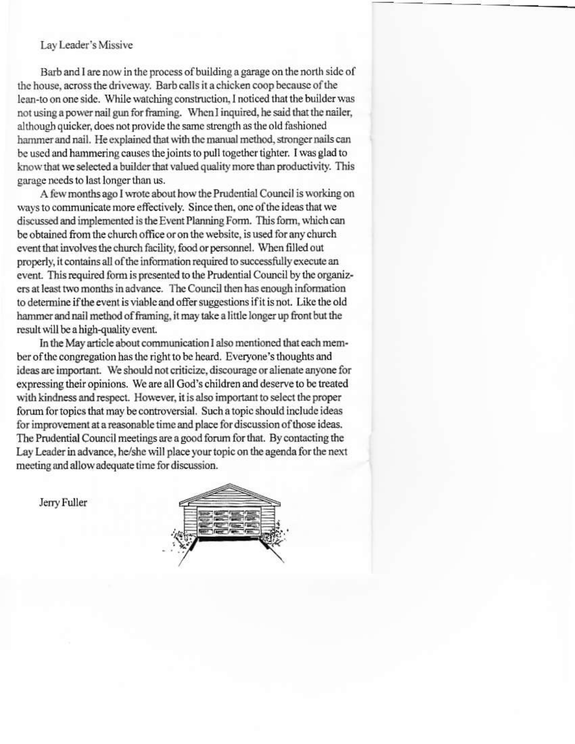#### Lav Leader's Missive

Barb and I are now in the process of building a garage on the north side of the house, across the driveway. Barb calls it a chicken coop because of the lean-to on one side. While watching construction, I noticed that the builder was not using a power nail gun for framing. When I inquired, he said that the nailer, although quicker, does not provide the same strength as the old fashioned hammer and nail. He explained that with the manual method, stronger nails can be used and hammering causes the joints to pull together tighter. I was glad to know that we selected a builder that valued quality more than productivity. This garage needs to last longer than us.

A few months ago I wrote about how the Prudential Council is working on ways to communicate more effectively. Since then, one of the ideas that we discussed and implemented is the Event Planning Form. This form, which can be obtained from the church office or on the website, is used for any church event that involves the church facility, food or personnel. When filled out properly, it contains all of the information required to successfully execute an event. This required form is presented to the Prudential Council by the organizers at least two months in advance. The Council then has enough information to determine if the event is viable and offer suggestions if it is not. Like the old hammer and nail method of framing, it may take a little longer up front but the result will be a high-quality event.

In the May article about communication I also mentioned that each member of the congregation has the right to be heard. Everyone's thoughts and ideas are important. We should not criticize, discourage or alienate anyone for expressing their opinions. We are all God's children and deserve to be treated with kindness and respect. However, it is also important to select the proper forum for topics that may be controversial. Such a topic should include ideas for improvement at a reasonable time and place for discussion of those ideas. The Prudential Council meetings are a good forum for that. By contacting the Lay Leader in advance, he/she will place your topic on the agenda for the next meeting and allow adequate time for discussion.



Jerry Fuller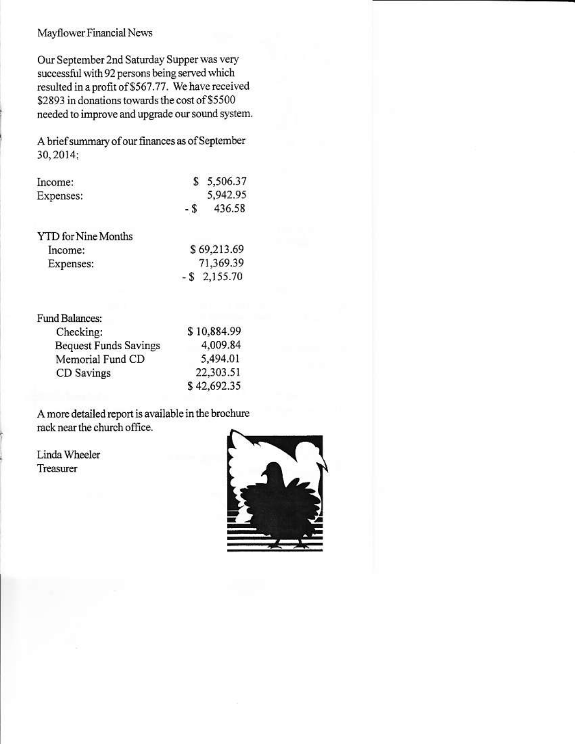#### Mayflower Financial News

VTD for Nine Months

Our September 2nd Saturday Supper was very successful with 92 persons being served which resulted in a profit of \$567.77. We have received \$2893 in donations towards the cost of \$5500 needed to improve and upgrade our sound system.

A brief summary of our finances as of September 30, 2014:

| Income:   |     | \$5,506.37 |
|-----------|-----|------------|
| Expenses: |     | 5,942.95   |
|           | - 8 | 436.58     |
|           |     |            |

| Income:   | \$69,213.69     |
|-----------|-----------------|
| Expenses: | 71,369.39       |
|           | $-$ \$ 2,155.70 |

| <b>Fund Balances:</b>        |             |
|------------------------------|-------------|
| Checking:                    | \$10,884.99 |
| <b>Bequest Funds Savings</b> | 4,009.84    |
| Memorial Fund CD             | 5,494.01    |
| CD Savings                   | 22,303.51   |
|                              | \$42,692,35 |

A more detailed report is available in the brochure rack near the church office.

Linda Wheeler Treasurer

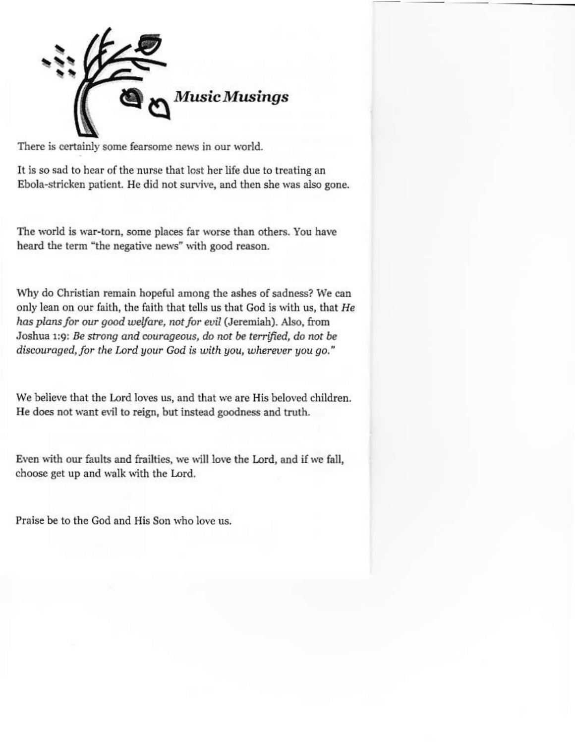Ausic Musings

There is certainly some fearsome news in our world.

It is so sad to hear of the nurse that lost her life due to treating an Ebola-stricken patient. He did not survive, and then she was also gone.

The world is war-torn, some places far worse than others. You have heard the term "the negative news" with good reason.

Why do Christian remain hopeful among the ashes of sadness? We can only lean on our faith, the faith that tells us that God is with us, that He has plans for our good welfare, not for evil (Jeremiah). Also, from Joshua 1:9: Be strong and courageous, do not be terrified, do not be discouraged, for the Lord your God is with you, wherever you go."

We believe that the Lord loves us, and that we are His beloved children. He does not want evil to reign, but instead goodness and truth.

Even with our faults and frailties, we will love the Lord, and if we fall, choose get up and walk with the Lord.

Praise be to the God and His Son who love us.